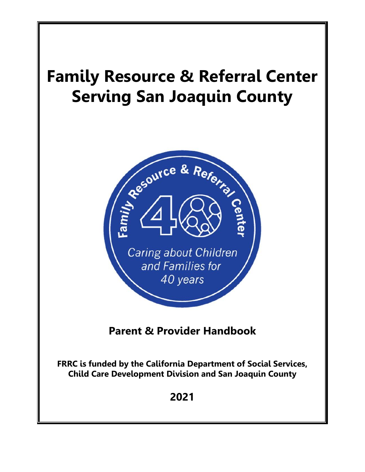# **Family Resource & Referral Center Serving San Joaquin County**



**Parent & Provider Handbook**

**FRRC is funded by the California Department of Social Services, Child Care Development Division and San Joaquin County** 

**2021**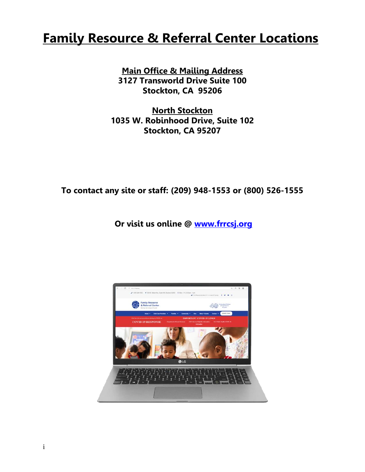## **Family Resource & Referral Center Locations**

**Main Office & Mailing Address 3127 Transworld Drive Suite 100 Stockton, CA 95206**

**North Stockton 1035 W. Robinhood Drive, Suite 102 Stockton, CA 95207**

**To contact any site or staff: (209) 948-1553 or (800) 526-1555**

**Or visit us online @ [www.frrcsj.org](http://www.frrcsj.org/)**

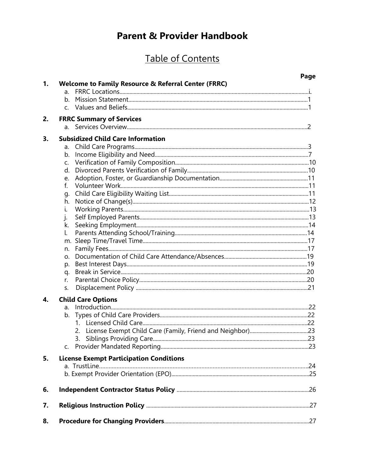## **Parent & Provider Handbook**

## Table of Contents

|    |                                                     | Page |
|----|-----------------------------------------------------|------|
| 1. | Welcome to Family Resource & Referral Center (FRRC) |      |
|    | $a_{-}$<br>b <sub>1</sub>                           |      |
|    |                                                     |      |
|    |                                                     |      |
| 2. | <b>FRRC Summary of Services</b><br>a.               |      |
| 3. | <b>Subsidized Child Care Information</b>            |      |
|    | a.                                                  |      |
|    | b.                                                  |      |
|    | C.                                                  |      |
|    | d.                                                  |      |
|    | e.                                                  |      |
|    | f.                                                  |      |
|    | g.                                                  |      |
|    | h.                                                  |      |
|    | i.                                                  |      |
|    | j.                                                  |      |
|    | k.                                                  |      |
|    | l.                                                  |      |
|    |                                                     |      |
|    | n.                                                  |      |
|    | O <sub>r</sub>                                      |      |
|    | p.                                                  |      |
|    | q.                                                  |      |
|    | r.                                                  |      |
|    | S.                                                  |      |
| 4. | <b>Child Care Options</b>                           |      |
|    |                                                     |      |
|    |                                                     |      |
|    |                                                     |      |
|    |                                                     |      |
|    |                                                     |      |
|    |                                                     |      |
| 5. | <b>License Exempt Participation Conditions</b>      |      |
|    |                                                     |      |
|    |                                                     |      |
| 6. |                                                     |      |
| 7. |                                                     |      |
| 8. |                                                     |      |
|    |                                                     |      |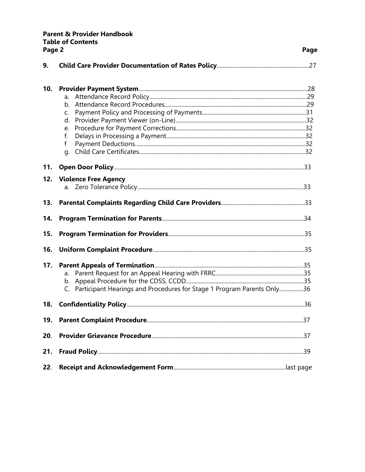## **Parent & Provider Handbook Table of Contents**

|     | Page 2                                                                    |  |
|-----|---------------------------------------------------------------------------|--|
| 9.  |                                                                           |  |
| 10. |                                                                           |  |
|     | a.                                                                        |  |
|     | $h_{\cdot}$                                                               |  |
|     | C.                                                                        |  |
|     | d.                                                                        |  |
|     | e.                                                                        |  |
|     | f.<br>$\mathsf{f}$                                                        |  |
|     | q.                                                                        |  |
|     |                                                                           |  |
| 11. |                                                                           |  |
| 12. | <b>Violence Free Agency</b>                                               |  |
|     |                                                                           |  |
| 13. |                                                                           |  |
| 14. |                                                                           |  |
| 15. |                                                                           |  |
| 16. |                                                                           |  |
| 17. |                                                                           |  |
|     | a.                                                                        |  |
|     |                                                                           |  |
|     | C. Participant Hearings and Procedures for Stage 1 Program Parents Only36 |  |
|     |                                                                           |  |
| 19. |                                                                           |  |
| 20. |                                                                           |  |
| 21. |                                                                           |  |
| 22. |                                                                           |  |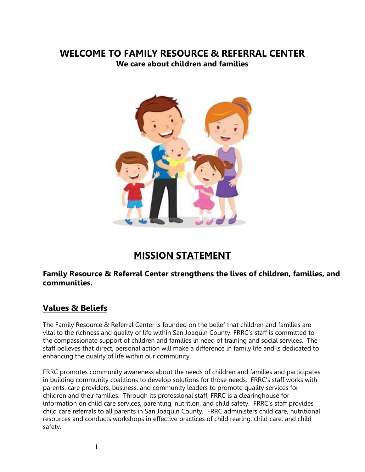### **WELCOME TO FAMILY RESOURCE & REFERRAL CENTER We care about children and families**



## **MISSION STATEMENT**

### **Family Resource & Referral Center strengthens the lives of children, families, and communities.**

## **Values & Beliefs**

The Family Resource & Referral Center is founded on the belief that children and families are vital to the richness and quality of life within San Joaquin County. FRRC's staff is committed to the compassionate support of children and families in need of training and social services. The staff believes that direct, personal action will make a difference in family life and is dedicated to enhancing the quality of life within our community.

FRRC promotes community awareness about the needs of children and families and participates in building community coalitions to develop solutions for those needs. FRRC's staff works with parents, care providers, business, and community leaders to promote quality services for children and their families. Through its professional staff, FRRC is a clearinghouse for information on child care services, parenting, nutrition, and child safety. FRRC's staff provides child care referrals to all parents in San Joaquin County. FRRC administers child care, nutritional resources and conducts workshops in effective practices of child rearing, child care, and child safety.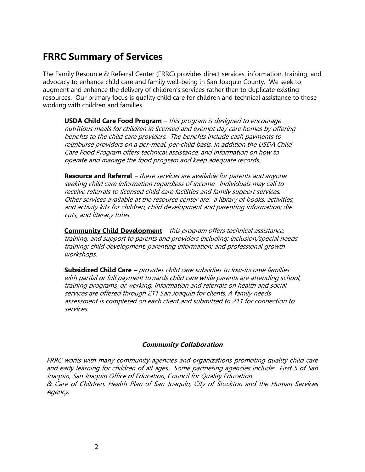## **FRRC Summary of Services**

The Family Resource & Referral Center (FRRC) provides direct services, information, training, and advocacy to enhance child care and family well-being in San Joaquin County. We seek to augment and enhance the delivery of children's services rather than to duplicate existing resources. Our primary focus is quality child care for children and technical assistance to those working with children and families.

**USDA Child Care Food Program** – this program is designed to encourage nutritious meals for children in licensed and exempt day care homes by offering benefits to the child care providers. The benefits include cash payments to reimburse providers on a per-meal, per-child basis. In addition the USDA Child Care Food Program offers technical assistance, and information on how to operate and manage the food program and keep adequate records.

**Resource and Referral** – these services are available for parents and anyone seeking child care information regardless of income. Individuals may call to receive referrals to licensed child care facilities and family support services. Other services available at the resource center are: a library of books, activities, and activity kits for children; child development and parenting information; die cuts; and literacy totes.

**Community Child Development** – this program offers technical assistance, training, and support to parents and providers including: inclusion/special needs training; child development, parenting information; and professional growth workshops.

**Subsidized Child Care –** provides child care subsidies to low-income families with partial or full payment towards child care while parents are attending school, training programs, or working. Information and referrals on health and social services are offered through 211 San Joaquin for clients. A family needs assessment is completed on each client and submitted to 211 for connection to services.

### **Community Collaboration**

FRRC works with many community agencies and organizations promoting quality child care and early learning for children of all ages. Some partnering agencies include: First 5 of San Joaquin, San Joaquin Office of Education, Council for Quality Education & Care of Children, Health Plan of San Joaquin, City of Stockton and the Human Services Agency.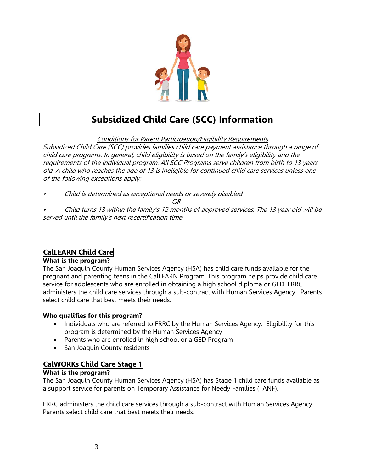

## **Subsidized Child Care (SCC) Information**

Conditions for Parent Participation/Eligibility Requirements Subsidized Child Care (SCC) provides families child care payment assistance through a range of child care programs. In general, child eligibility is based on the family's eligibility and the requirements of the individual program. All SCC Programs serve children from birth to 13 years old. A child who reaches the age of 13 is ineligible for continued child care services unless one of the following exceptions apply:

•Child is determined as exceptional needs or severely disabled

### OR

• Child turns 13 within the family's 12 months of approved services. The 13 year old will be served until the family's next recertification time

### **CalLEARN Child Care**

### **What is the program?**

The San Joaquin County Human Services Agency (HSA) has child care funds available for the pregnant and parenting teens in the CalLEARN Program. This program helps provide child care service for adolescents who are enrolled in obtaining a high school diploma or GED. FRRC administers the child care services through a sub-contract with Human Services Agency. Parents select child care that best meets their needs.

### **Who qualifies for this program?**

- Individuals who are referred to FRRC by the Human Services Agency. Eligibility for this program is determined by the Human Services Agency
- Parents who are enrolled in high school or a GED Program
- San Joaquin County residents

### **CalWORKs Child Care Stage 1**

### **What is the program?**

The San Joaquin County Human Services Agency (HSA) has Stage 1 child care funds available as a support service for parents on Temporary Assistance for Needy Families (TANF).

FRRC administers the child care services through a sub-contract with Human Services Agency. Parents select child care that best meets their needs.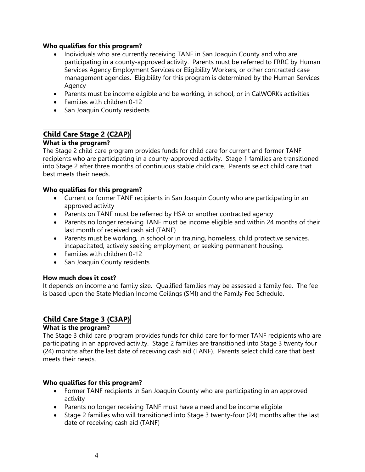### **Who qualifies for this program?**

- Individuals who are currently receiving TANF in San Joaquin County and who are participating in a county-approved activity. Parents must be referred to FRRC by Human Services Agency Employment Services or Eligibility Workers, or other contracted case management agencies. Eligibility for this program is determined by the Human Services Agency
- Parents must be income eligible and be working, in school, or in CalWORKs activities
- Families with children 0-12
- San Joaquin County residents

### **Child Care Stage 2 (C2AP)**

### **What is the program?**

The Stage 2 child care program provides funds for child care for current and former TANF recipients who are participating in a county-approved activity. Stage 1 families are transitioned into Stage 2 after three months of continuous stable child care. Parents select child care that best meets their needs.

#### **Who qualifies for this program?**

- Current or former TANF recipients in San Joaquin County who are participating in an approved activity
- Parents on TANF must be referred by HSA or another contracted agency
- Parents no longer receiving TANF must be income eligible and within 24 months of their last month of received cash aid (TANF)
- Parents must be working, in school or in training, homeless, child protective services, incapacitated, actively seeking employment, or seeking permanent housing.
- Families with children 0-12
- San Joaquin County residents

#### **How much does it cost?**

It depends on income and family size**.** Qualified families may be assessed a family fee. The fee is based upon the State Median Income Ceilings (SMI) and the Family Fee Schedule.

### **Child Care Stage 3 (C3AP)**

### **What is the program?**

The Stage 3 child care program provides funds for child care for former TANF recipients who are participating in an approved activity. Stage 2 families are transitioned into Stage 3 twenty four (24) months after the last date of receiving cash aid (TANF). Parents select child care that best meets their needs.

#### **Who qualifies for this program?**

- Former TANF recipients in San Joaquin County who are participating in an approved activity
- Parents no longer receiving TANF must have a need and be income eligible
- Stage 2 families who will transitioned into Stage 3 twenty-four (24) months after the last date of receiving cash aid (TANF)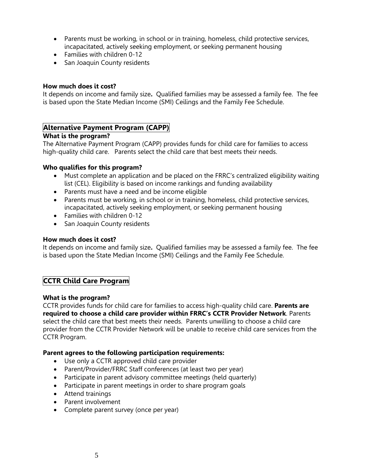- Parents must be working, in school or in training, homeless, child protective services, incapacitated, actively seeking employment, or seeking permanent housing
- Families with children 0-12
- San Joaquin County residents

#### **How much does it cost?**

It depends on income and family size**.** Qualified families may be assessed a family fee. The fee is based upon the State Median Income (SMI) Ceilings and the Family Fee Schedule.

### **Alternative Payment Program (CAPP)**

### **What is the program?**

The Alternative Payment Program (CAPP) provides funds for child care for families to access high-quality child care. Parents select the child care that best meets their needs.

### **Who qualifies for this program?**

- Must complete an application and be placed on the FRRC's centralized eligibility waiting list (CEL). Eligibility is based on income rankings and funding availability
- Parents must have a need and be income eligible
- Parents must be working, in school or in training, homeless, child protective services, incapacitated, actively seeking employment, or seeking permanent housing
- Families with children 0-12
- San Joaquin County residents

#### **How much does it cost?**

It depends on income and family size**.** Qualified families may be assessed a family fee. The fee is based upon the State Median Income (SMI) Ceilings and the Family Fee Schedule.

### **CCTR Child Care Program**

#### **What is the program?**

CCTR provides funds for child care for families to access high-quality child care. **Parents are required to choose a child care provider within FRRC's CCTR Provider Network**. Parents select the child care that best meets their needs. Parents unwilling to choose a child care provider from the CCTR Provider Network will be unable to receive child care services from the CCTR Program.

#### **Parent agrees to the following participation requirements:**

- Use only a CCTR approved child care provider
- Parent/Provider/FRRC Staff conferences (at least two per year)
- Participate in parent advisory committee meetings (held quarterly)
- Participate in parent meetings in order to share program goals
- Attend trainings
- Parent involvement
- Complete parent survey (once per year)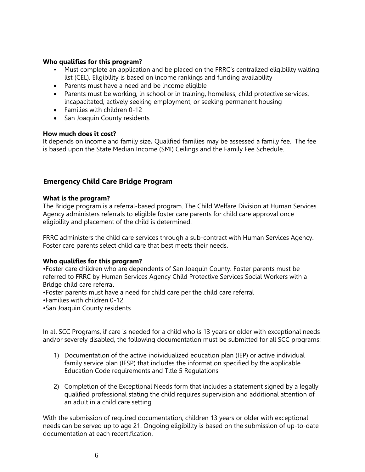#### **Who qualifies for this program?**

- Must complete an application and be placed on the FRRC's centralized eligibility waiting list (CEL). Eligibility is based on income rankings and funding availability
- Parents must have a need and be income eligible
- Parents must be working, in school or in training, homeless, child protective services, incapacitated, actively seeking employment, or seeking permanent housing
- Families with children 0-12
- San Joaquin County residents

### **How much does it cost?**

It depends on income and family size**.** Qualified families may be assessed a family fee. The fee is based upon the State Median Income (SMI) Ceilings and the Family Fee Schedule.

### **Emergency Child Care Bridge Program**

#### **What is the program?**

The Bridge program is a referral-based program. The Child Welfare Division at Human Services Agency administers referrals to eligible foster care parents for child care approval once eligibility and placement of the child is determined.

FRRC administers the child care services through a sub-contract with Human Services Agency. Foster care parents select child care that best meets their needs.

### **Who qualifies for this program?**

•Foster care children who are dependents of San Joaquin County. Foster parents must be referred to FRRC by Human Services Agency Child Protective Services Social Workers with a Bridge child care referral

•Foster parents must have a need for child care per the child care referral

•Families with children 0-12

•San Joaquin County residents

In all SCC Programs, if care is needed for a child who is 13 years or older with exceptional needs and/or severely disabled, the following documentation must be submitted for all SCC programs:

- 1) Documentation of the active individualized education plan (IEP) or active individual family service plan (IFSP) that includes the information specified by the applicable Education Code requirements and Title 5 Regulations
- 2) Completion of the Exceptional Needs form that includes a statement signed by a legally qualified professional stating the child requires supervision and additional attention of an adult in a child care setting

With the submission of required documentation, children 13 years or older with exceptional needs can be served up to age 21. Ongoing eligibility is based on the submission of up-to-date documentation at each recertification.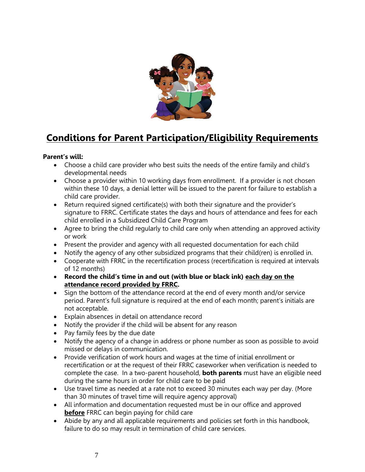

## **Conditions for Parent Participation/Eligibility Requirements**

### **Parent's will:**

- Choose a child care provider who best suits the needs of the entire family and child's developmental needs
- Choose a provider within 10 working days from enrollment. If a provider is not chosen within these 10 days, a denial letter will be issued to the parent for failure to establish a child care provider.
- Return required signed certificate(s) with both their signature and the provider's signature to FRRC. Certificate states the days and hours of attendance and fees for each child enrolled in a Subsidized Child Care Program
- Agree to bring the child regularly to child care only when attending an approved activity or work
- Present the provider and agency with all requested documentation for each child
- Notify the agency of any other subsidized programs that their child(ren) is enrolled in.
- Cooperate with FRRC in the recertification process (recertification is required at intervals of 12 months)
- **Record the child's time in and out (with blue or black ink) each day on the attendance record provided by FRRC.**
- Sign the bottom of the attendance record at the end of every month and/or service period. Parent's full signature is required at the end of each month; parent's initials are not acceptable.
- Explain absences in detail on attendance record
- Notify the provider if the child will be absent for any reason
- Pay family fees by the due date
- Notify the agency of a change in address or phone number as soon as possible to avoid missed or delays in communication.
- Provide verification of work hours and wages at the time of initial enrollment or recertification or at the request of their FRRC caseworker when verification is needed to complete the case. In a two-parent household, **both parents** must have an eligible need during the same hours in order for child care to be paid
- Use travel time as needed at a rate not to exceed 30 minutes each way per day. (More than 30 minutes of travel time will require agency approval)
- All information and documentation requested must be in our office and approved **before** FRRC can begin paying for child care
- Abide by any and all applicable requirements and policies set forth in this handbook, failure to do so may result in termination of child care services.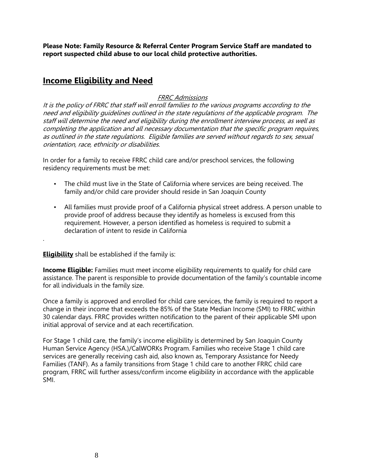**Please Note: Family Resource & Referral Center Program Service Staff are mandated to report suspected child abuse to our local child protective authorities.** 

### **Income Eligibility and Need**

### FRRC Admissions

It is the policy of FRRC that staff will enroll families to the various programs according to the need and eligibility guidelines outlined in the state regulations of the applicable program. The staff will determine the need and eligibility during the enrollment interview process, as well as completing the application and all necessary documentation that the specific program requires, as outlined in the state regulations. Eligible families are served without regards to sex, sexual orientation, race, ethnicity or disabilities.

In order for a family to receive FRRC child care and/or preschool services, the following residency requirements must be met:

- The child must live in the State of California where services are being received. The family and/or child care provider should reside in San Joaquin County
- All families must provide proof of a California physical street address. A person unable to provide proof of address because they identify as homeless is excused from this requirement. However, a person identified as homeless is required to submit a declaration of intent to reside in California

#### **Eligibility** shall be established if the family is:

.

**Income Eligible:** Families must meet income eligibility requirements to qualify for child care assistance. The parent is responsible to provide documentation of the family's countable income for all individuals in the family size.

Once a family is approved and enrolled for child care services, the family is required to report a change in their income that exceeds the 85% of the State Median Income (SMI) to FRRC within 30 calendar days. FRRC provides written notification to the parent of their applicable SMI upon initial approval of service and at each recertification.

For Stage 1 child care, the family's income eligibility is determined by San Joaquin County Human Service Agency (HSA.)/CalWORKs Program. Families who receive Stage 1 child care services are generally receiving cash aid, also known as, Temporary Assistance for Needy Families (TANF). As a family transitions from Stage 1 child care to another FRRC child care program, FRRC will further assess/confirm income eligibility in accordance with the applicable SMI.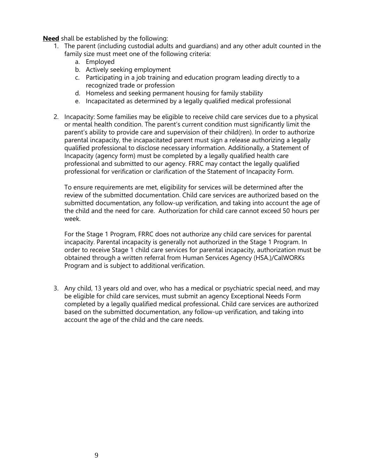**Need** shall be established by the following:

- 1. The parent (including custodial adults and guardians) and any other adult counted in the family size must meet one of the following criteria:
	- a. Employed
	- b. Actively seeking employment
	- c. Participating in a job training and education program leading directly to a recognized trade or profession
	- d. Homeless and seeking permanent housing for family stability
	- e. Incapacitated as determined by a legally qualified medical professional
- 2. Incapacity: Some families may be eligible to receive child care services due to a physical or mental health condition. The parent's current condition must significantly limit the parent's ability to provide care and supervision of their child(ren). In order to authorize parental incapacity, the incapacitated parent must sign a release authorizing a legally qualified professional to disclose necessary information. Additionally, a Statement of Incapacity (agency form) must be completed by a legally qualified health care professional and submitted to our agency. FRRC may contact the legally qualified professional for verification or clarification of the Statement of Incapacity Form.

To ensure requirements are met, eligibility for services will be determined after the review of the submitted documentation. Child care services are authorized based on the submitted documentation, any follow-up verification, and taking into account the age of the child and the need for care. Authorization for child care cannot exceed 50 hours per week.

For the Stage 1 Program, FRRC does not authorize any child care services for parental incapacity. Parental incapacity is generally not authorized in the Stage 1 Program. In order to receive Stage 1 child care services for parental incapacity, authorization must be obtained through a written referral from Human Services Agency (HSA.)/CalWORKs Program and is subject to additional verification.

3. Any child, 13 years old and over, who has a medical or psychiatric special need, and may be eligible for child care services, must submit an agency Exceptional Needs Form completed by a legally qualified medical professional. Child care services are authorized based on the submitted documentation, any follow-up verification, and taking into account the age of the child and the care needs.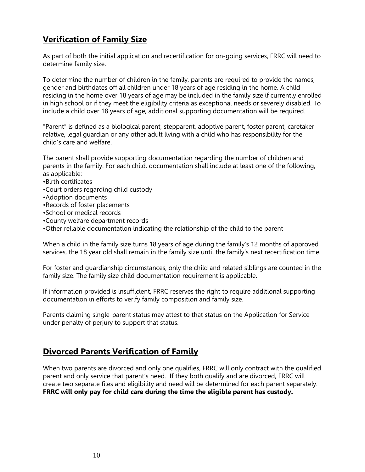## **Verification of Family Size**

As part of both the initial application and recertification for on-going services, FRRC will need to determine family size.

To determine the number of children in the family, parents are required to provide the names, gender and birthdates off all children under 18 years of age residing in the home. A child residing in the home over 18 years of age may be included in the family size if currently enrolled in high school or if they meet the eligibility criteria as exceptional needs or severely disabled. To include a child over 18 years of age, additional supporting documentation will be required.

"Parent" is defined as a biological parent, stepparent, adoptive parent, foster parent, caretaker relative, legal guardian or any other adult living with a child who has responsibility for the child's care and welfare.

The parent shall provide supporting documentation regarding the number of children and parents in the family. For each child, documentation shall include at least one of the following, as applicable:

- •Birth certificates
- •Court orders regarding child custody
- •Adoption documents
- •Records of foster placements
- •School or medical records
- •County welfare department records
- •Other reliable documentation indicating the relationship of the child to the parent

When a child in the family size turns 18 years of age during the family's 12 months of approved services, the 18 year old shall remain in the family size until the family's next recertification time.

For foster and guardianship circumstances, only the child and related siblings are counted in the family size. The family size child documentation requirement is applicable.

If information provided is insufficient, FRRC reserves the right to require additional supporting documentation in efforts to verify family composition and family size.

Parents claiming single-parent status may attest to that status on the Application for Service under penalty of perjury to support that status.

### **Divorced Parents Verification of Family**

When two parents are divorced and only one qualifies, FRRC will only contract with the qualified parent and only service that parent's need. If they both qualify and are divorced, FRRC will create two separate files and eligibility and need will be determined for each parent separately. **FRRC will only pay for child care during the time the eligible parent has custody.**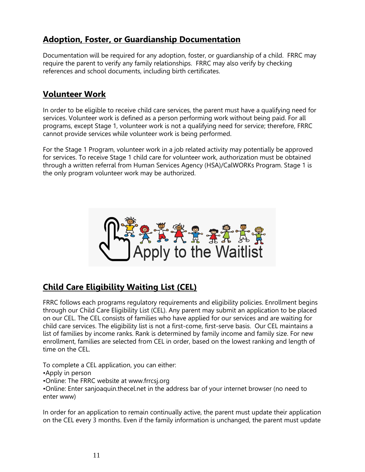## **Adoption, Foster, or Guardianship Documentation**

Documentation will be required for any adoption, foster, or guardianship of a child. FRRC may require the parent to verify any family relationships. FRRC may also verify by checking references and school documents, including birth certificates.

## **Volunteer Work**

In order to be eligible to receive child care services, the parent must have a qualifying need for services. Volunteer work is defined as a person performing work without being paid. For all programs, except Stage 1, volunteer work is not a qualifying need for service; therefore, FRRC cannot provide services while volunteer work is being performed.

For the Stage 1 Program, volunteer work in a job related activity may potentially be approved for services. To receive Stage 1 child care for volunteer work, authorization must be obtained through a written referral from Human Services Agency (HSA)/CalWORKs Program. Stage 1 is the only program volunteer work may be authorized.



## **Child Care Eligibility Waiting List (CEL)**

FRRC follows each programs regulatory requirements and eligibility policies. Enrollment begins through our Child Care Eligibility List (CEL). Any parent may submit an application to be placed on our CEL. The CEL consists of families who have applied for our services and are waiting for child care services. The eligibility list is not a first-come, first-serve basis. Our CEL maintains a list of families by income ranks. Rank is determined by family income and family size. For new enrollment, families are selected from CEL in order, based on the lowest ranking and length of time on the CEL.

To complete a CEL application, you can either:

•Apply in person

•Online: The FRRC website at www.frrcsj.org

•Online: Enter sanjoaquin.thecel.net in the address bar of your internet browser (no need to enter www)

In order for an application to remain continually active, the parent must update their application on the CEL every 3 months. Even if the family information is unchanged, the parent must update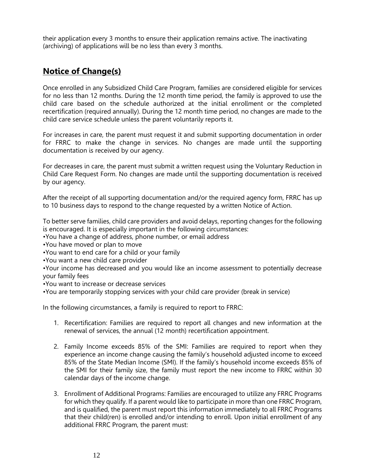their application every 3 months to ensure their application remains active. The inactivating (archiving) of applications will be no less than every 3 months.

## **Notice of Change(s)**

Once enrolled in any Subsidized Child Care Program, families are considered eligible for services for no less than 12 months. During the 12 month time period, the family is approved to use the child care based on the schedule authorized at the initial enrollment or the completed recertification (required annually). During the 12 month time period, no changes are made to the child care service schedule unless the parent voluntarily reports it.

For increases in care, the parent must request it and submit supporting documentation in order for FRRC to make the change in services. No changes are made until the supporting documentation is received by our agency.

For decreases in care, the parent must submit a written request using the Voluntary Reduction in Child Care Request Form. No changes are made until the supporting documentation is received by our agency.

After the receipt of all supporting documentation and/or the required agency form, FRRC has up to 10 business days to respond to the change requested by a written Notice of Action.

To better serve families, child care providers and avoid delays, reporting changes for the following is encouraged. It is especially important in the following circumstances:

•You have a change of address, phone number, or email address

•You have moved or plan to move

•You want to end care for a child or your family

•You want a new child care provider

•Your income has decreased and you would like an income assessment to potentially decrease your family fees

•You want to increase or decrease services

•You are temporarily stopping services with your child care provider (break in service)

In the following circumstances, a family is required to report to FRRC:

- 1. Recertification: Families are required to report all changes and new information at the renewal of services, the annual (12 month) recertification appointment.
- 2. Family Income exceeds 85% of the SMI: Families are required to report when they experience an income change causing the family's household adjusted income to exceed 85% of the State Median Income (SMI). If the family's household income exceeds 85% of the SMI for their family size, the family must report the new income to FRRC within 30 calendar days of the income change.
- 3. Enrollment of Additional Programs: Families are encouraged to utilize any FRRC Programs for which they qualify. If a parent would like to participate in more than one FRRC Program, and is qualified, the parent must report this information immediately to all FRRC Programs that their child(ren) is enrolled and/or intending to enroll. Upon initial enrollment of any additional FRRC Program, the parent must: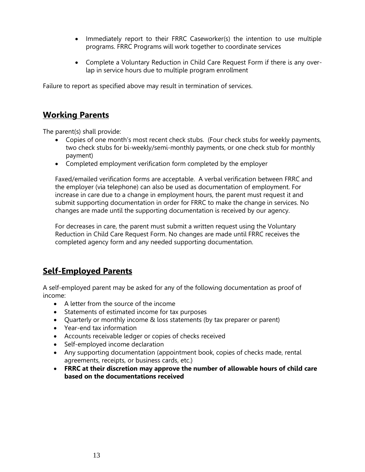- Immediately report to their FRRC Caseworker(s) the intention to use multiple programs. FRRC Programs will work together to coordinate services
- Complete a Voluntary Reduction in Child Care Request Form if there is any overlap in service hours due to multiple program enrollment

Failure to report as specified above may result in termination of services.

### **Working Parents**

The parent(s) shall provide:

- Copies of one month's most recent check stubs. (Four check stubs for weekly payments, two check stubs for bi-weekly/semi-monthly payments, or one check stub for monthly payment)
- Completed employment verification form completed by the employer

Faxed/emailed verification forms are acceptable. A verbal verification between FRRC and the employer (via telephone) can also be used as documentation of employment. For increase in care due to a change in employment hours, the parent must request it and submit supporting documentation in order for FRRC to make the change in services. No changes are made until the supporting documentation is received by our agency.

For decreases in care, the parent must submit a written request using the Voluntary Reduction in Child Care Request Form. No changes are made until FRRC receives the completed agency form and any needed supporting documentation.

## **Self-Employed Parents**

A self-employed parent may be asked for any of the following documentation as proof of income:

- A letter from the source of the income
- Statements of estimated income for tax purposes
- Quarterly or monthly income & loss statements (by tax preparer or parent)
- Year-end tax information
- Accounts receivable ledger or copies of checks received
- Self-employed income declaration
- Any supporting documentation (appointment book, copies of checks made, rental agreements, receipts, or business cards, etc.)
- **FRRC at their discretion may approve the number of allowable hours of child care based on the documentations received**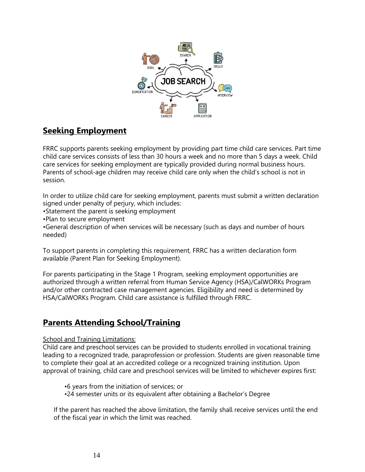

## **Seeking Employment**

FRRC supports parents seeking employment by providing part time child care services. Part time child care services consists of less than 30 hours a week and no more than 5 days a week. Child care services for seeking employment are typically provided during normal business hours. Parents of school-age children may receive child care only when the child's school is not in session.

In order to utilize child care for seeking employment, parents must submit a written declaration signed under penalty of perjury, which includes:

•Statement the parent is seeking employment

•Plan to secure employment

•General description of when services will be necessary (such as days and number of hours needed)

To support parents in completing this requirement, FRRC has a written declaration form available (Parent Plan for Seeking Employment).

For parents participating in the Stage 1 Program, seeking employment opportunities are authorized through a written referral from Human Service Agency (HSA)/CalWORKs Program and/or other contracted case management agencies. Eligibility and need is determined by HSA/CalWORKs Program. Child care assistance is fulfilled through FRRC.

## **Parents Attending School/Training**

#### School and Training Limitations:

Child care and preschool services can be provided to students enrolled in vocational training leading to a recognized trade, paraprofession or profession. Students are given reasonable time to complete their goal at an accredited college or a recognized training institution. Upon approval of training, child care and preschool services will be limited to whichever expires first:

•6 years from the initiation of services; or

•24 semester units or its equivalent after obtaining a Bachelor's Degree

If the parent has reached the above limitation, the family shall receive services until the end of the fiscal year in which the limit was reached.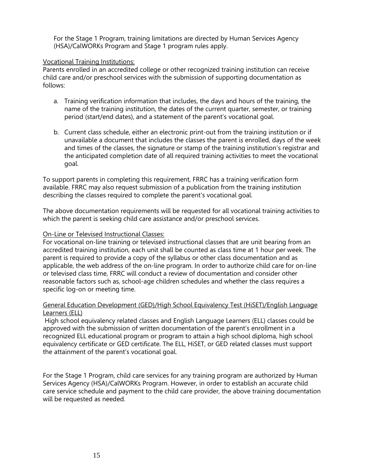For the Stage 1 Program, training limitations are directed by Human Services Agency (HSA)/CalWORKs Program and Stage 1 program rules apply.

#### Vocational Training Institutions:

Parents enrolled in an accredited college or other recognized training institution can receive child care and/or preschool services with the submission of supporting documentation as follows:

- a. Training verification information that includes, the days and hours of the training, the name of the training institution, the dates of the current quarter, semester, or training period (start/end dates), and a statement of the parent's vocational goal.
- b. Current class schedule, either an electronic print-out from the training institution or if unavailable a document that includes the classes the parent is enrolled, days of the week and times of the classes, the signature or stamp of the training institution's registrar and the anticipated completion date of all required training activities to meet the vocational goal.

To support parents in completing this requirement, FRRC has a training verification form available. FRRC may also request submission of a publication from the training institution describing the classes required to complete the parent's vocational goal.

The above documentation requirements will be requested for all vocational training activities to which the parent is seeking child care assistance and/or preschool services.

#### On-Line or Televised Instructional Classes:

For vocational on-line training or televised instructional classes that are unit bearing from an accredited training institution, each unit shall be counted as class time at 1 hour per week. The parent is required to provide a copy of the syllabus or other class documentation and as applicable, the web address of the on-line program. In order to authorize child care for on-line or televised class time, FRRC will conduct a review of documentation and consider other reasonable factors such as, school-age children schedules and whether the class requires a specific log-on or meeting time.

#### General Education Development (GED)/High School Equivalency Test (HiSET)/English Language Learners (ELL)

High school equivalency related classes and English Language Learners (ELL) classes could be approved with the submission of written documentation of the parent's enrollment in a recognized ELL educational program or program to attain a high school diploma, high school equivalency certificate or GED certificate. The ELL, HiSET, or GED related classes must support the attainment of the parent's vocational goal.

For the Stage 1 Program, child care services for any training program are authorized by Human Services Agency (HSA)/CalWORKs Program. However, in order to establish an accurate child care service schedule and payment to the child care provider, the above training documentation will be requested as needed.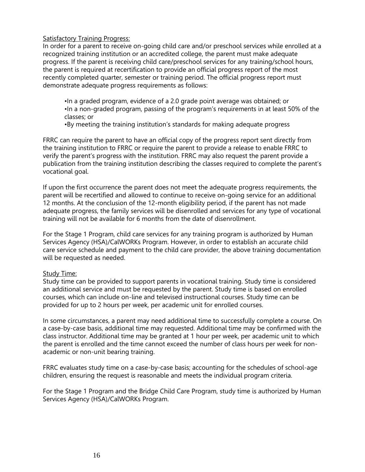#### Satisfactory Training Progress:

In order for a parent to receive on-going child care and/or preschool services while enrolled at a recognized training institution or an accredited college, the parent must make adequate progress. If the parent is receiving child care/preschool services for any training/school hours, the parent is required at recertification to provide an official progress report of the most recently completed quarter, semester or training period. The official progress report must demonstrate adequate progress requirements as follows:

•In a graded program, evidence of a 2.0 grade point average was obtained; or •In a non-graded program, passing of the program's requirements in at least 50% of the classes; or

•By meeting the training institution's standards for making adequate progress

FRRC can require the parent to have an official copy of the progress report sent directly from the training institution to FRRC or require the parent to provide a release to enable FRRC to verify the parent's progress with the institution. FRRC may also request the parent provide a publication from the training institution describing the classes required to complete the parent's vocational goal.

If upon the first occurrence the parent does not meet the adequate progress requirements, the parent will be recertified and allowed to continue to receive on-going service for an additional 12 months. At the conclusion of the 12-month eligibility period, if the parent has not made adequate progress, the family services will be disenrolled and services for any type of vocational training will not be available for 6 months from the date of disenrollment.

For the Stage 1 Program, child care services for any training program is authorized by Human Services Agency (HSA)/CalWORKs Program. However, in order to establish an accurate child care service schedule and payment to the child care provider, the above training documentation will be requested as needed.

#### Study Time:

Study time can be provided to support parents in vocational training. Study time is considered an additional service and must be requested by the parent. Study time is based on enrolled courses, which can include on-line and televised instructional courses. Study time can be provided for up to 2 hours per week, per academic unit for enrolled courses.

In some circumstances, a parent may need additional time to successfully complete a course. On a case-by-case basis, additional time may requested. Additional time may be confirmed with the class instructor. Additional time may be granted at 1 hour per week, per academic unit to which the parent is enrolled and the time cannot exceed the number of class hours per week for nonacademic or non-unit bearing training.

FRRC evaluates study time on a case-by-case basis; accounting for the schedules of school-age children, ensuring the request is reasonable and meets the individual program criteria.

For the Stage 1 Program and the Bridge Child Care Program, study time is authorized by Human Services Agency (HSA)/CalWORKs Program.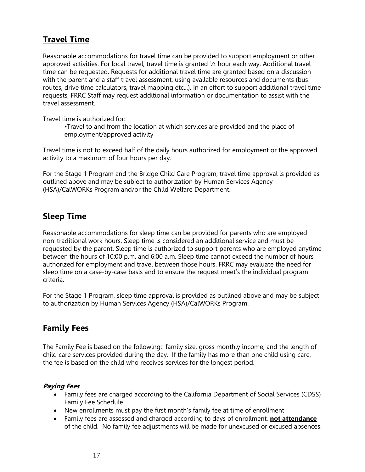## **Travel Time**

Reasonable accommodations for travel time can be provided to support employment or other approved activities. For local travel, travel time is granted ½ hour each way. Additional travel time can be requested. Requests for additional travel time are granted based on a discussion with the parent and a staff travel assessment, using available resources and documents (bus routes, drive time calculators, travel mapping etc...). In an effort to support additional travel time requests, FRRC Staff may request additional information or documentation to assist with the travel assessment.

Travel time is authorized for:

•Travel to and from the location at which services are provided and the place of employment/approved activity

Travel time is not to exceed half of the daily hours authorized for employment or the approved activity to a maximum of four hours per day.

For the Stage 1 Program and the Bridge Child Care Program, travel time approval is provided as outlined above and may be subject to authorization by Human Services Agency (HSA)/CalWORKs Program and/or the Child Welfare Department.

## **Sleep Time**

Reasonable accommodations for sleep time can be provided for parents who are employed non-traditional work hours. Sleep time is considered an additional service and must be requested by the parent. Sleep time is authorized to support parents who are employed anytime between the hours of 10:00 p.m. and 6:00 a.m. Sleep time cannot exceed the number of hours authorized for employment and travel between those hours. FRRC may evaluate the need for sleep time on a case-by-case basis and to ensure the request meet's the individual program criteria.

For the Stage 1 Program, sleep time approval is provided as outlined above and may be subject to authorization by Human Services Agency (HSA)/CalWORKs Program.

## **Family Fees**

The Family Fee is based on the following: family size, gross monthly income, and the length of child care services provided during the day. If the family has more than one child using care, the fee is based on the child who receives services for the longest period.

### **Paying Fees**

- Family fees are charged according to the California Department of Social Services (CDSS) Family Fee Schedule
- New enrollments must pay the first month's family fee at time of enrollment
- Family fees are assessed and charged according to days of enrollment, **not attendance** of the child. No family fee adjustments will be made for unexcused or excused absences.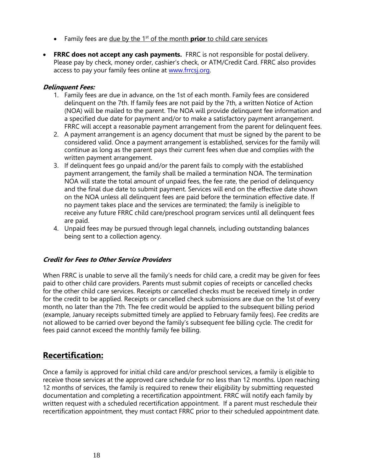- Family fees are <u>due by the 1<sup>st</sup> of the month</u> **prior** to child care services
- **FRRC does not accept any cash payments.** FRRC is not responsible for postal delivery. Please pay by check, money order, cashier's check, or ATM/Credit Card. FRRC also provides access to pay your family fees online at [www.frrcsj.org.](http://www.frrcsj.org/)

### **Delinquent Fees:**

- 1. Family fees are due in advance, on the 1st of each month. Family fees are considered delinquent on the 7th. If family fees are not paid by the 7th, a written Notice of Action (NOA) will be mailed to the parent. The NOA will provide delinquent fee information and a specified due date for payment and/or to make a satisfactory payment arrangement. FRRC will accept a reasonable payment arrangement from the parent for delinquent fees.
- 2. A payment arrangement is an agency document that must be signed by the parent to be considered valid. Once a payment arrangement is established, services for the family will continue as long as the parent pays their current fees when due and complies with the written payment arrangement.
- 3. If delinquent fees go unpaid and/or the parent fails to comply with the established payment arrangement, the family shall be mailed a termination NOA. The termination NOA will state the total amount of unpaid fees, the fee rate, the period of delinquency and the final due date to submit payment. Services will end on the effective date shown on the NOA unless all delinquent fees are paid before the termination effective date. If no payment takes place and the services are terminated; the family is ineligible to receive any future FRRC child care/preschool program services until all delinquent fees are paid.
- 4. Unpaid fees may be pursued through legal channels, including outstanding balances being sent to a collection agency.

#### **Credit for Fees to Other Service Providers**

When FRRC is unable to serve all the family's needs for child care, a credit may be given for fees paid to other child care providers. Parents must submit copies of receipts or cancelled checks for the other child care services. Receipts or cancelled checks must be received timely in order for the credit to be applied. Receipts or cancelled check submissions are due on the 1st of every month, no later than the 7th. The fee credit would be applied to the subsequent billing period (example, January receipts submitted timely are applied to February family fees). Fee credits are not allowed to be carried over beyond the family's subsequent fee billing cycle. The credit for fees paid cannot exceed the monthly family fee billing.

### **Recertification:**

Once a family is approved for initial child care and/or preschool services, a family is eligible to receive those services at the approved care schedule for no less than 12 months. Upon reaching 12 months of services, the family is required to renew their eligibility by submitting requested documentation and completing a recertification appointment. FRRC will notify each family by written request with a scheduled recertification appointment. If a parent must reschedule their recertification appointment, they must contact FRRC prior to their scheduled appointment date.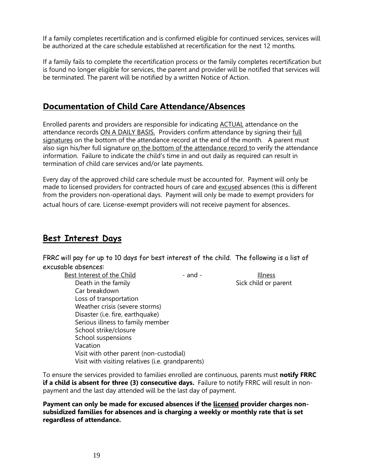If a family completes recertification and is confirmed eligible for continued services, services will be authorized at the care schedule established at recertification for the next 12 months.

If a family fails to complete the recertification process or the family completes recertification but is found no longer eligible for services, the parent and provider will be notified that services will be terminated. The parent will be notified by a written Notice of Action.

### **Documentation of Child Care Attendance/Absences**

Enrolled parents and providers are responsible for indicating ACTUAL attendance on the attendance records ON A DAILY BASIS. Providers confirm attendance by signing their full signatures on the bottom of the attendance record at the end of the month. A parent must also sign his/her full signature on the bottom of the attendance record to verify the attendance information. Failure to indicate the child's time in and out daily as required can result in termination of child care services and/or late payments.

Every day of the approved child care schedule must be accounted for. Payment will only be made to licensed providers for contracted hours of care and excused absences (this is different from the providers non-operational days. Payment will only be made to exempt providers for actual hours of care. License-exempt providers will not receive payment for absences.

## **Best Interest Days**

FRRC will pay for up to 10 days for best interest of the child. The following is a list of excusable absences:

Best Interest of the Child **Figure 2** and - Illness

Death in the family **Sick child or parent** Car breakdown Loss of transportation Weather crisis (severe storms) Disaster (i.e. fire, earthquake) Serious illness to family member School strike/closure School suspensions Vacation Visit with other parent (non-custodial) Visit with visiting relatives (i.e. grandparents)

To ensure the services provided to families enrolled are continuous, parents must **notify FRRC if a child is absent for three (3) consecutive days.** Failure to notify FRRC will result in nonpayment and the last day attended will be the last day of payment.

**Payment can only be made for excused absences if the licensed provider charges nonsubsidized families for absences and is charging a weekly or monthly rate that is set regardless of attendance.**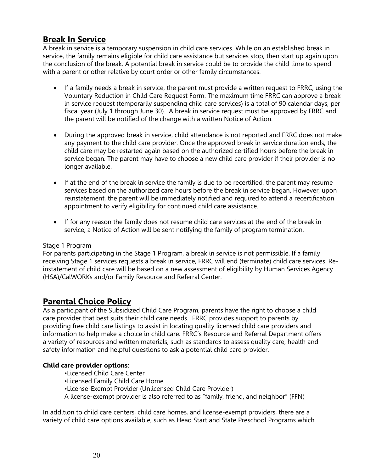## **Break In Service**

A break in service is a temporary suspension in child care services. While on an established break in service, the family remains eligible for child care assistance but services stop, then start up again upon the conclusion of the break. A potential break in service could be to provide the child time to spend with a parent or other relative by court order or other family circumstances.

- If a family needs a break in service, the parent must provide a written request to FRRC, using the Voluntary Reduction in Child Care Request Form. The maximum time FRRC can approve a break in service request (temporarily suspending child care services) is a total of 90 calendar days, per fiscal year (July 1 through June 30). A break in service request must be approved by FRRC and the parent will be notified of the change with a written Notice of Action.
- During the approved break in service, child attendance is not reported and FRRC does not make any payment to the child care provider. Once the approved break in service duration ends, the child care may be restarted again based on the authorized certified hours before the break in service began. The parent may have to choose a new child care provider if their provider is no longer available.
- If at the end of the break in service the family is due to be recertified, the parent may resume services based on the authorized care hours before the break in service began. However, upon reinstatement, the parent will be immediately notified and required to attend a recertification appointment to verify eligibility for continued child care assistance.
- If for any reason the family does not resume child care services at the end of the break in service, a Notice of Action will be sent notifying the family of program termination.

#### Stage 1 Program

For parents participating in the Stage 1 Program, a break in service is not permissible. If a family receiving Stage 1 services requests a break in service, FRRC will end (terminate) child care services. Reinstatement of child care will be based on a new assessment of eligibility by Human Services Agency (HSA)/CalWORKs and/or Family Resource and Referral Center.

## **Parental Choice Policy**

As a participant of the Subsidized Child Care Program, parents have the right to choose a child care provider that best suits their child care needs. FRRC provides support to parents by providing free child care listings to assist in locating quality licensed child care providers and information to help make a choice in child care. FRRC's Resource and Referral Department offers a variety of resources and written materials, such as standards to assess quality care, health and safety information and helpful questions to ask a potential child care provider.

#### **Child care provider options**:

- •Licensed Child Care Center
- •Licensed Family Child Care Home
- •License-Exempt Provider (Unlicensed Child Care Provider)
- A license-exempt provider is also referred to as "family, friend, and neighbor" (FFN)

In addition to child care centers, child care homes, and license-exempt providers, there are a variety of child care options available, such as Head Start and State Preschool Programs which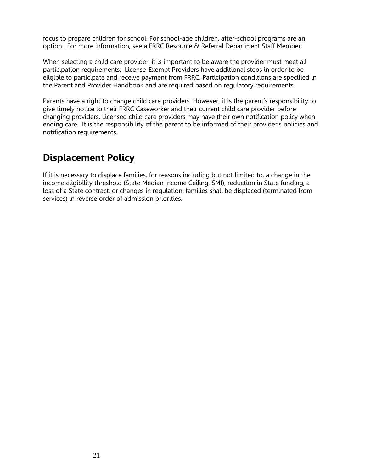focus to prepare children for school. For school-age children, after-school programs are an option. For more information, see a FRRC Resource & Referral Department Staff Member.

When selecting a child care provider, it is important to be aware the provider must meet all participation requirements. License-Exempt Providers have additional steps in order to be eligible to participate and receive payment from FRRC. Participation conditions are specified in the Parent and Provider Handbook and are required based on regulatory requirements.

Parents have a right to change child care providers. However, it is the parent's responsibility to give timely notice to their FRRC Caseworker and their current child care provider before changing providers. Licensed child care providers may have their own notification policy when ending care. It is the responsibility of the parent to be informed of their provider's policies and notification requirements.

## **Displacement Policy**

If it is necessary to displace families, for reasons including but not limited to, a change in the income eligibility threshold (State Median Income Ceiling, SMI), reduction in State funding, a loss of a State contract, or changes in regulation, families shall be displaced (terminated from services) in reverse order of admission priorities.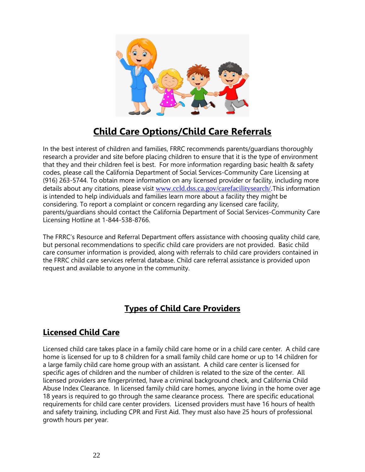

## **Child Care Options/Child Care Referrals**

In the best interest of children and families, FRRC recommends parents/guardians thoroughly research a provider and site before placing children to ensure that it is the type of environment that they and their children feel is best. For more information regarding basic health & safety codes, please call the California Department of Social Services-Community Care Licensing at (916) 263-5744. To obtain more information on any licensed provider or facility, including more details about any citations, please visit [www.ccld.dss.ca.gov/carefacilitysearch/.](http://www.ccld.dss.ca.gov/carefacilitysearch/)This information is intended to help individuals and families learn more about a facility they might be considering. To report a complaint or concern regarding any licensed care facility, parents/guardians should contact the California Department of Social Services-Community Care Licensing Hotline at 1-844-538-8766.

The FRRC's Resource and Referral Department offers assistance with choosing quality child care, but personal recommendations to specific child care providers are not provided. Basic child care consumer information is provided, along with referrals to child care providers contained in the FRRC child care services referral database. Child care referral assistance is provided upon request and available to anyone in the community.

## **Types of Child Care Providers**

## **Licensed Child Care**

Licensed child care takes place in a family child care home or in a child care center. A child care home is licensed for up to 8 children for a small family child care home or up to 14 children for a large family child care home group with an assistant. A child care center is licensed for specific ages of children and the number of children is related to the size of the center. All licensed providers are fingerprinted, have a criminal background check, and California Child Abuse Index Clearance. In licensed family child care homes, anyone living in the home over age 18 years is required to go through the same clearance process. There are specific educational requirements for child care center providers. Licensed providers must have 16 hours of health and safety training, including CPR and First Aid. They must also have 25 hours of professional growth hours per year.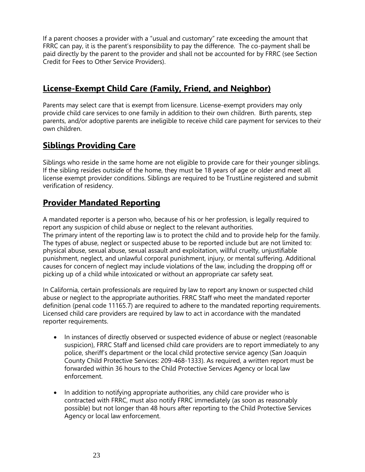If a parent chooses a provider with a "usual and customary" rate exceeding the amount that FRRC can pay, it is the parent's responsibility to pay the difference. The co-payment shall be paid directly by the parent to the provider and shall not be accounted for by FRRC (see Section Credit for Fees to Other Service Providers).

## **License-Exempt Child Care (Family, Friend, and Neighbor)**

Parents may select care that is exempt from licensure. License-exempt providers may only provide child care services to one family in addition to their own children. Birth parents, step parents, and/or adoptive parents are ineligible to receive child care payment for services to their own children.

## **Siblings Providing Care**

Siblings who reside in the same home are not eligible to provide care for their younger siblings. If the sibling resides outside of the home, they must be 18 years of age or older and meet all license exempt provider conditions. Siblings are required to be TrustLine registered and submit verification of residency.

## **Provider Mandated Reporting**

A mandated reporter is a person who, because of his or her profession, is legally required to report any suspicion of child abuse or neglect to the relevant authorities. The primary intent of the reporting law is to protect the child and to provide help for the family. The types of abuse, neglect or suspected abuse to be reported include but are not limited to: physical abuse, sexual abuse, sexual assault and exploitation, willful cruelty, unjustifiable punishment, neglect, and unlawful corporal punishment, injury, or mental suffering. Additional causes for concern of neglect may include violations of the law, including the dropping off or picking up of a child while intoxicated or without an appropriate car safety seat.

In California, certain professionals are required by law to report any known or suspected child abuse or neglect to the appropriate authorities. FRRC Staff who meet the mandated reporter definition (penal code 11165.7) are required to adhere to the mandated reporting requirements. Licensed child care providers are required by law to act in accordance with the mandated reporter requirements.

- In instances of directly observed or suspected evidence of abuse or neglect (reasonable suspicion), FRRC Staff and licensed child care providers are to report immediately to any police, sheriff's department or the local child protective service agency (San Joaquin County Child Protective Services: 209-468-1333). As required, a written report must be forwarded within 36 hours to the Child Protective Services Agency or local law enforcement.
- In addition to notifying appropriate authorities, any child care provider who is contracted with FRRC, must also notify FRRC immediately (as soon as reasonably possible) but not longer than 48 hours after reporting to the Child Protective Services Agency or local law enforcement.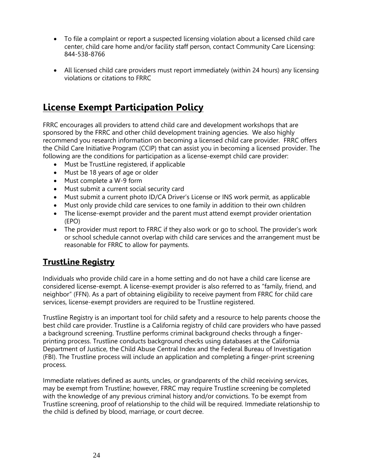- To file a complaint or report a suspected licensing violation about a licensed child care center, child care home and/or facility staff person, contact Community Care Licensing: 844-538-8766
- All licensed child care providers must report immediately (within 24 hours) any licensing violations or citations to FRRC

## **License Exempt Participation Policy**

FRRC encourages all providers to attend child care and development workshops that are sponsored by the FRRC and other child development training agencies. We also highly recommend you research information on becoming a licensed child care provider. FRRC offers the Child Care Initiative Program (CCIP) that can assist you in becoming a licensed provider. The following are the conditions for participation as a license-exempt child care provider:

- Must be TrustLine registered, if applicable
- Must be 18 years of age or older
- Must complete a W-9 form
- Must submit a current social security card
- Must submit a current photo ID/CA Driver's License or INS work permit, as applicable
- Must only provide child care services to one family in addition to their own children
- The license-exempt provider and the parent must attend exempt provider orientation (EPO)
- The provider must report to FRRC if they also work or go to school. The provider's work or school schedule cannot overlap with child care services and the arrangement must be reasonable for FRRC to allow for payments.

## **TrustLine Registry**

Individuals who provide child care in a home setting and do not have a child care license are considered license-exempt. A license-exempt provider is also referred to as "family, friend, and neighbor" (FFN). As a part of obtaining eligibility to receive payment from FRRC for child care services, license-exempt providers are required to be Trustline registered.

Trustline Registry is an important tool for child safety and a resource to help parents choose the best child care provider. Trustline is a California registry of child care providers who have passed a background screening. Trustline performs criminal background checks through a fingerprinting process. Trustline conducts background checks using databases at the California Department of Justice, the Child Abuse Central Index and the Federal Bureau of Investigation (FBI). The Trustline process will include an application and completing a finger-print screening process.

Immediate relatives defined as aunts, uncles, or grandparents of the child receiving services, may be exempt from Trustline; however, FRRC may require Trustline screening be completed with the knowledge of any previous criminal history and/or convictions. To be exempt from Trustline screening, proof of relationship to the child will be required. Immediate relationship to the child is defined by blood, marriage, or court decree.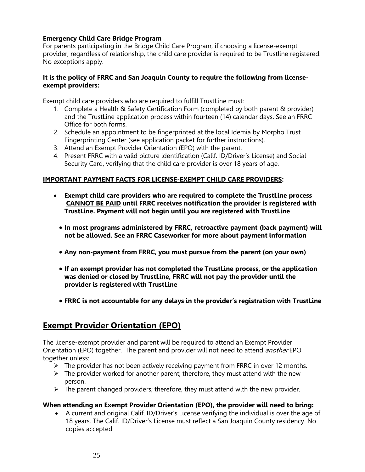### **Emergency Child Care Bridge Program**

For parents participating in the Bridge Child Care Program, if choosing a license-exempt provider, regardless of relationship, the child care provider is required to be Trustline registered. No exceptions apply.

#### **It is the policy of FRRC and San Joaquin County to require the following from licenseexempt providers:**

Exempt child care providers who are required to fulfill TrustLine must:

- 1. Complete a Health & Safety Certification Form (completed by both parent & provider) and the TrustLine application process within fourteen (14) calendar days. See an FRRC Office for both forms.
- 2. Schedule an appointment to be fingerprinted at the local Idemia by Morpho Trust Fingerprinting Center (see application packet for further instructions).
- 3. Attend an Exempt Provider Orientation (EPO) with the parent.
- 4. Present FRRC with a valid picture identification (Calif. ID/Driver's License) and Social Security Card, verifying that the child care provider is over 18 years of age.

### **IMPORTANT PAYMENT FACTS FOR LICENSE-EXEMPT CHILD CARE PROVIDERS:**

- **Exempt child care providers who are required to complete the TrustLine process CANNOT BE PAID until FRRC receives notification the provider is registered with TrustLine. Payment will not begin until you are registered with TrustLine**
	- **In most programs administered by FRRC, retroactive payment (back payment) will not be allowed. See an FRRC Caseworker for more about payment information**
	- **Any non-payment from FRRC, you must pursue from the parent (on your own)**
	- **If an exempt provider has not completed the TrustLine process, or the application was denied or closed by TrustLine, FRRC will not pay the provider until the provider is registered with TrustLine**
	- **FRRC is not accountable for any delays in the provider's registration with TrustLine**

## **Exempt Provider Orientation (EPO)**

The license-exempt provider and parent will be required to attend an Exempt Provider Orientation (EPO) together. The parent and provider will not need to attend *another* EPO together unless:

- $\triangleright$  The provider has not been actively receiving payment from FRRC in over 12 months.
- $\triangleright$  The provider worked for another parent; therefore, they must attend with the new person.
- $\triangleright$  The parent changed providers; therefore, they must attend with the new provider.

#### **When attending an Exempt Provider Orientation (EPO), the provider will need to bring:**

• A current and original Calif. ID/Driver's License verifying the individual is over the age of 18 years. The Calif. ID/Driver's License must reflect a San Joaquin County residency. No copies accepted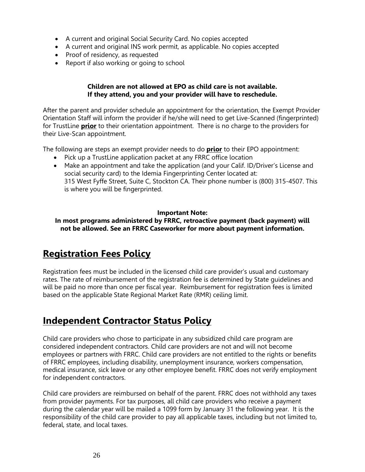- A current and original Social Security Card. No copies accepted
- A current and original INS work permit, as applicable. No copies accepted
- Proof of residency, as requested
- Report if also working or going to school

### **Children are not allowed at EPO as child care is not available. If they attend, you and your provider will have to reschedule.**

After the parent and provider schedule an appointment for the orientation, the Exempt Provider Orientation Staff will inform the provider if he/she will need to get Live-Scanned (fingerprinted) for TrustLine **prior** to their orientation appointment. There is no charge to the providers for their Live-Scan appointment.

The following are steps an exempt provider needs to do **prior** to their EPO appointment:

- Pick up a TrustLine application packet at any FRRC office location
- Make an appointment and take the application (and your Calif. ID/Driver's License and social security card) to the Idemia Fingerprinting Center located at: 315 West Fyffe Street, Suite C, Stockton CA. Their phone number is (800) 315-4507. This is where you will be fingerprinted.

#### **Important Note:**

**In most programs administered by FRRC, retroactive payment (back payment) will not be allowed. See an FRRC Caseworker for more about payment information.**

## **Registration Fees Policy**

Registration fees must be included in the licensed child care provider's usual and customary rates. The rate of reimbursement of the registration fee is determined by State guidelines and will be paid no more than once per fiscal year. Reimbursement for registration fees is limited based on the applicable State Regional Market Rate (RMR) ceiling limit.

## **Independent Contractor Status Policy**

Child care providers who chose to participate in any subsidized child care program are considered independent contractors. Child care providers are not and will not become employees or partners with FRRC. Child care providers are not entitled to the rights or benefits of FRRC employees, including disability, unemployment insurance, workers compensation, medical insurance, sick leave or any other employee benefit. FRRC does not verify employment for independent contractors.

Child care providers are reimbursed on behalf of the parent. FRRC does not withhold any taxes from provider payments. For tax purposes, all child care providers who receive a payment during the calendar year will be mailed a 1099 form by January 31 the following year. It is the responsibility of the child care provider to pay all applicable taxes, including but not limited to, federal, state, and local taxes.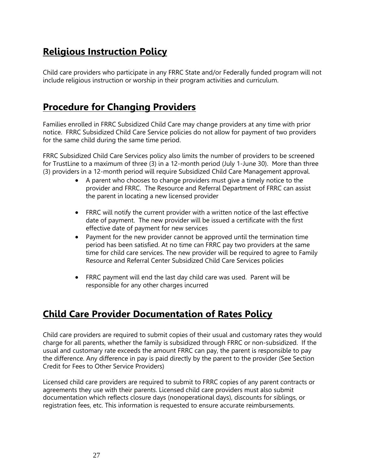## **Religious Instruction Policy**

Child care providers who participate in any FRRC State and/or Federally funded program will not include religious instruction or worship in their program activities and curriculum.

## **Procedure for Changing Providers**

Families enrolled in FRRC Subsidized Child Care may change providers at any time with prior notice. FRRC Subsidized Child Care Service policies do not allow for payment of two providers for the same child during the same time period.

FRRC Subsidized Child Care Services policy also limits the number of providers to be screened for TrustLine to a maximum of three (3) in a 12-month period (July 1-June 30). More than three (3) providers in a 12-month period will require Subsidized Child Care Management approval.

- A parent who chooses to change providers must give a timely notice to the provider and FRRC. The Resource and Referral Department of FRRC can assist the parent in locating a new licensed provider
- FRRC will notify the current provider with a written notice of the last effective date of payment. The new provider will be issued a certificate with the first effective date of payment for new services
- Payment for the new provider cannot be approved until the termination time period has been satisfied. At no time can FRRC pay two providers at the same time for child care services. The new provider will be required to agree to Family Resource and Referral Center Subsidized Child Care Services policies
- FRRC payment will end the last day child care was used. Parent will be responsible for any other charges incurred

## **Child Care Provider Documentation of Rates Policy**

Child care providers are required to submit copies of their usual and customary rates they would charge for all parents, whether the family is subsidized through FRRC or non-subsidized. If the usual and customary rate exceeds the amount FRRC can pay, the parent is responsible to pay the difference. Any difference in pay is paid directly by the parent to the provider (See Section Credit for Fees to Other Service Providers)

Licensed child care providers are required to submit to FRRC copies of any parent contracts or agreements they use with their parents. Licensed child care providers must also submit documentation which reflects closure days (nonoperational days), discounts for siblings, or registration fees, etc. This information is requested to ensure accurate reimbursements.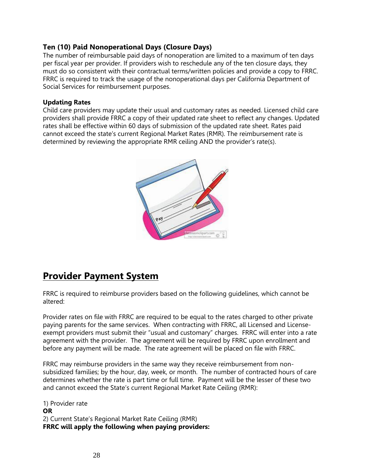### **Ten (10) Paid Nonoperational Days (Closure Days)**

The number of reimbursable paid days of nonoperation are limited to a maximum of ten days per fiscal year per provider. If providers wish to reschedule any of the ten closure days, they must do so consistent with their contractual terms/written policies and provide a copy to FRRC. FRRC is required to track the usage of the nonoperational days per California Department of Social Services for reimbursement purposes.

### **Updating Rates**

Child care providers may update their usual and customary rates as needed. Licensed child care providers shall provide FRRC a copy of their updated rate sheet to reflect any changes. Updated rates shall be effective within 60 days of submission of the updated rate sheet. Rates paid cannot exceed the state's current Regional Market Rates (RMR). The reimbursement rate is determined by reviewing the appropriate RMR ceiling AND the provider's rate(s).



## **Provider Payment System**

FRRC is required to reimburse providers based on the following guidelines, which cannot be altered:

Provider rates on file with FRRC are required to be equal to the rates charged to other private paying parents for the same services. When contracting with FRRC, all Licensed and Licenseexempt providers must submit their "usual and customary" charges. FRRC will enter into a rate agreement with the provider. The agreement will be required by FRRC upon enrollment and before any payment will be made. The rate agreement will be placed on file with FRRC.

FRRC may reimburse providers in the same way they receive reimbursement from nonsubsidized families; by the hour, day, week, or month. The number of contracted hours of care determines whether the rate is part time or full time. Payment will be the lesser of these two and cannot exceed the State's current Regional Market Rate Ceiling (RMR):

1) Provider rate **OR** 2) Current State's Regional Market Rate Ceiling (RMR) **FRRC will apply the following when paying providers:**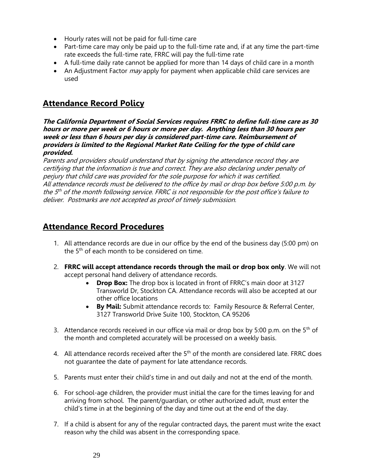- Hourly rates will not be paid for full-time care
- Part-time care may only be paid up to the full-time rate and, if at any time the part-time rate exceeds the full-time rate, FRRC will pay the full-time rate
- A full-time daily rate cannot be applied for more than 14 days of child care in a month
- An Adjustment Factor  $may$  apply for payment when applicable child care services are used

## **Attendance Record Policy**

**The California Department of Social Services requires FRRC to define full-time care as 30 hours or more per week or 6 hours or more per day. Anything less than 30 hours per week or less than 6 hours per day is considered part-time care. Reimbursement of providers is limited to the Regional Market Rate Ceiling for the type of child care provided.**

Parents and providers should understand that by signing the attendance record they are certifying that the information is true and correct. They are also declaring under penalty of perjury that child care was provided for the sole purpose for which it was certified. All attendance records must be delivered to the office by mail or drop box before 5:00 p.m. by the 5<sup>th</sup> of the month following service. FRRC is not responsible for the post office's failure to deliver. Postmarks are not accepted as proof of timely submission.

## **Attendance Record Procedures**

- 1. All attendance records are due in our office by the end of the business day (5:00 pm) on the 5<sup>th</sup> of each month to be considered on time.
- 2. **FRRC will accept attendance records through the mail or drop box only**. We will not accept personal hand delivery of attendance records.
	- **Drop Box:** The drop box is located in front of FRRC's main door at 3127 Transworld Dr, Stockton CA. Attendance records will also be accepted at our other office locations
	- **By Mail:** Submit attendance records to: Family Resource & Referral Center, 3127 Transworld Drive Suite 100, Stockton, CA 95206
- 3. Attendance records received in our office via mail or drop box by 5:00 p.m. on the  $5<sup>th</sup>$  of the month and completed accurately will be processed on a weekly basis.
- 4. All attendance records received after the  $5<sup>th</sup>$  of the month are considered late. FRRC does not guarantee the date of payment for late attendance records.
- 5. Parents must enter their child's time in and out daily and not at the end of the month.
- 6. For school-age children, the provider must initial the care for the times leaving for and arriving from school. The parent/guardian, or other authorized adult, must enter the child's time in at the beginning of the day and time out at the end of the day.
- 7. If a child is absent for any of the regular contracted days, the parent must write the exact reason why the child was absent in the corresponding space.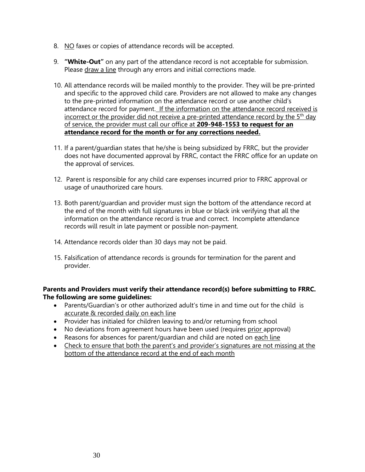- 8. NO faxes or copies of attendance records will be accepted.
- 9. **"White-Out"** on any part of the attendance record is not acceptable for submission. Please draw a line through any errors and initial corrections made.
- 10. All attendance records will be mailed monthly to the provider. They will be pre-printed and specific to the approved child care. Providers are not allowed to make any changes to the pre-printed information on the attendance record or use another child's attendance record for payment. If the information on the attendance record received is incorrect or the provider did not receive a pre-printed attendance record by the 5<sup>th</sup> day of service, the provider must call our office at **209-948-1553 to request for an attendance record for the month or for any corrections needed.**
- 11. If a parent/guardian states that he/she is being subsidized by FRRC, but the provider does not have documented approval by FRRC, contact the FRRC office for an update on the approval of services.
- 12. Parent is responsible for any child care expenses incurred prior to FRRC approval or usage of unauthorized care hours.
- 13. Both parent/guardian and provider must sign the bottom of the attendance record at the end of the month with full signatures in blue or black ink verifying that all the information on the attendance record is true and correct. Incomplete attendance records will result in late payment or possible non-payment.
- 14. Attendance records older than 30 days may not be paid.
- 15. Falsification of attendance records is grounds for termination for the parent and provider.

### **Parents and Providers must verify their attendance record(s) before submitting to FRRC. The following are some guidelines:**

- Parents/Guardian's or other authorized adult's time in and time out for the child is accurate & recorded daily on each line
- Provider has initialed for children leaving to and/or returning from school
- No deviations from agreement hours have been used (requires prior approval)
- Reasons for absences for parent/quardian and child are noted on each line
- Check to ensure that both the parent's and provider's signatures are not missing at the bottom of the attendance record at the end of each month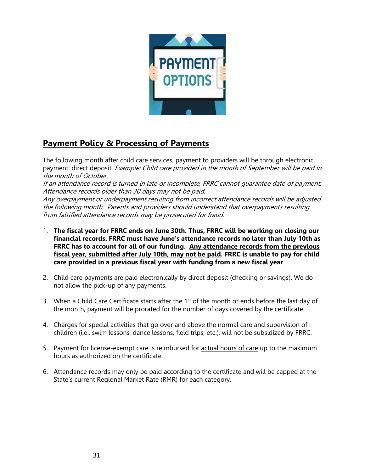

## **Payment Policy & Processing of Payments**

The following month after child care services, payment to providers will be through electronic payment: direct deposit. Example: Child care provided in the month of September will be paid in the month of October.

If an attendance record is turned in late or incomplete, FRRC cannot guarantee date of payment. Attendance records older than 30 days may not be paid.

Any overpayment or underpayment resulting from incorrect attendance records will be adjusted the following month. Parents and providers should understand that overpayments resulting from falsified attendance records may be prosecuted for fraud.

- 1. **The fiscal year for FRRC ends on June 30th. Thus, FRRC will be working on closing our financial records. FRRC must have June's attendance records no later than July 10th as FRRC has to account for all of our funding. Any attendance records from the previous fiscal year, submitted after July 10th, may not be paid. FRRC is unable to pay for child care provided in a previous fiscal year with funding from a new fiscal year**.
- 2. Child care payments are paid electronically by direct deposit (checking or savings). We do not allow the pick-up of any payments.
- 3. When a Child Care Certificate starts after the 1<sup>st</sup> of the month or ends before the last day of the month, payment will be prorated for the number of days covered by the certificate.
- 4. Charges for special activities that go over and above the normal care and supervision of children (i.e., swim lessons, dance lessons, field trips, etc.), will not be subsidized by FRRC.
- 5. Payment for license-exempt care is reimbursed for actual hours of care up to the maximum hours as authorized on the certificate.
- 6. Attendance records may only be paid according to the certificate and will be capped at the State's current Regional Market Rate (RMR) for each category.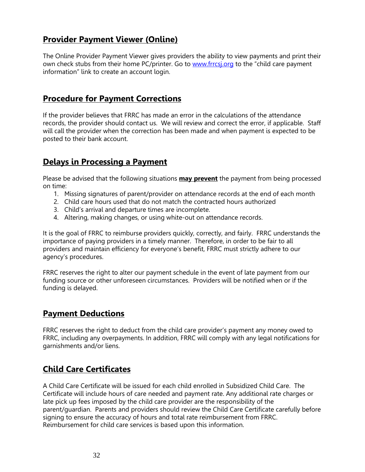## **Provider Payment Viewer (Online)**

The Online Provider Payment Viewer gives providers the ability to view payments and print their own check stubs from their home PC/printer. Go to [www.frrcsj.org](http://www.frrcsj.org/) to the "child care payment information" link to create an account login.

## **Procedure for Payment Corrections**

If the provider believes that FRRC has made an error in the calculations of the attendance records, the provider should contact us. We will review and correct the error, if applicable. Staff will call the provider when the correction has been made and when payment is expected to be posted to their bank account.

## **Delays in Processing a Payment**

Please be advised that the following situations **may prevent** the payment from being processed on time:

- 1. Missing signatures of parent/provider on attendance records at the end of each month
- 2. Child care hours used that do not match the contracted hours authorized
- 3. Child's arrival and departure times are incomplete.
- 4. Altering, making changes, or using white-out on attendance records.

It is the goal of FRRC to reimburse providers quickly, correctly, and fairly. FRRC understands the importance of paying providers in a timely manner. Therefore, in order to be fair to all providers and maintain efficiency for everyone's benefit, FRRC must strictly adhere to our agency's procedures.

FRRC reserves the right to alter our payment schedule in the event of late payment from our funding source or other unforeseen circumstances. Providers will be notified when or if the funding is delayed.

## **Payment Deductions**

FRRC reserves the right to deduct from the child care provider's payment any money owed to FRRC, including any overpayments. In addition, FRRC will comply with any legal notifications for garnishments and/or liens.

## **Child Care Certificates**

A Child Care Certificate will be issued for each child enrolled in Subsidized Child Care. The Certificate will include hours of care needed and payment rate. Any additional rate charges or late pick up fees imposed by the child care provider are the responsibility of the parent/guardian. Parents and providers should review the Child Care Certificate carefully before signing to ensure the accuracy of hours and total rate reimbursement from FRRC. Reimbursement for child care services is based upon this information.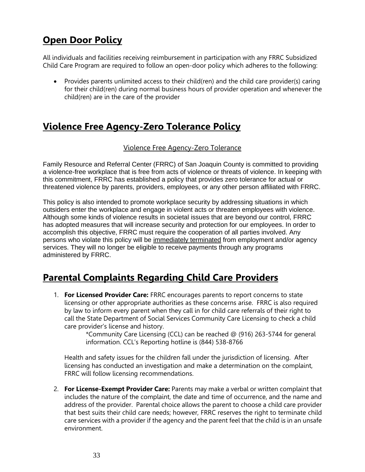## **Open Door Policy**

All individuals and facilities receiving reimbursement in participation with any FRRC Subsidized Child Care Program are required to follow an open-door policy which adheres to the following:

• Provides parents unlimited access to their child(ren) and the child care provider(s) caring for their child(ren) during normal business hours of provider operation and whenever the child(ren) are in the care of the provider

## **Violence Free Agency-Zero Tolerance Policy**

### Violence Free Agency-Zero Tolerance

Family Resource and Referral Center (FRRC) of San Joaquin County is committed to providing a violence-free workplace that is free from acts of violence or threats of violence. In keeping with this commitment, FRRC has established a policy that provides zero tolerance for actual or threatened violence by parents, providers, employees, or any other person affiliated with FRRC.

This policy is also intended to promote workplace security by addressing situations in which outsiders enter the workplace and engage in violent acts or threaten employees with violence. Although some kinds of violence results in societal issues that are beyond our control, FRRC has adopted measures that will increase security and protection for our employees. In order to accomplish this objective, FRRC must require the cooperation of all parties involved. Any persons who violate this policy will be immediately terminated from employment and/or agency services. They will no longer be eligible to receive payments through any programs administered by FRRC.

## **Parental Complaints Regarding Child Care Providers**

1. **For Licensed Provider Care:** FRRC encourages parents to report concerns to state licensing or other appropriate authorities as these concerns arise. FRRC is also required by law to inform every parent when they call in for child care referrals of their right to call the State Department of Social Services Community Care Licensing to check a child care provider's license and history.

\*Community Care Licensing (CCL) can be reached @ (916) 263-5744 for general information. CCL's Reporting hotline is (844) 538-8766

Health and safety issues for the children fall under the jurisdiction of licensing. After licensing has conducted an investigation and make a determination on the complaint, FRRC will follow licensing recommendations.

2. **For License-Exempt Provider Care:** Parents may make a verbal or written complaint that includes the nature of the complaint, the date and time of occurrence, and the name and address of the provider. Parental choice allows the parent to choose a child care provider that best suits their child care needs; however, FRRC reserves the right to terminate child care services with a provider if the agency and the parent feel that the child is in an unsafe environment.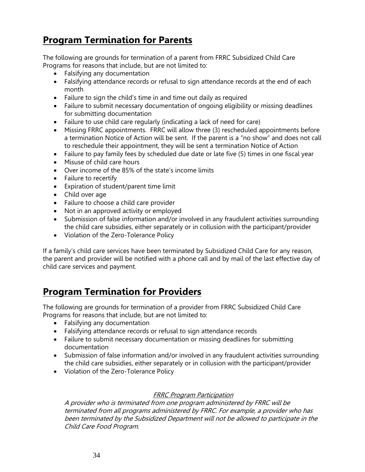## **Program Termination for Parents**

The following are grounds for termination of a parent from FRRC Subsidized Child Care Programs for reasons that include, but are not limited to:

- Falsifying any documentation
- Falsifying attendance records or refusal to sign attendance records at the end of each month
- Failure to sign the child's time in and time out daily as required
- Failure to submit necessary documentation of ongoing eligibility or missing deadlines for submitting documentation
- Failure to use child care regularly (indicating a lack of need for care)
- Missing FRRC appointments. FRRC will allow three (3) rescheduled appointments before a termination Notice of Action will be sent. If the parent is a "no show" and does not call to reschedule their appointment, they will be sent a termination Notice of Action
- Failure to pay family fees by scheduled due date or late five (5) times in one fiscal year
- Misuse of child care hours
- Over income of the 85% of the state's income limits
- Failure to recertify
- Expiration of student/parent time limit
- Child over age
- Failure to choose a child care provider
- Not in an approved activity or employed
- Submission of false information and/or involved in any fraudulent activities surrounding the child care subsidies, either separately or in collusion with the participant/provider
- Violation of the Zero-Tolerance Policy

If a family's child care services have been terminated by Subsidized Child Care for any reason, the parent and provider will be notified with a phone call and by mail of the last effective day of child care services and payment.

## **Program Termination for Providers**

The following are grounds for termination of a provider from FRRC Subsidized Child Care Programs for reasons that include, but are not limited to:

- Falsifying any documentation
- Falsifying attendance records or refusal to sign attendance records
- Failure to submit necessary documentation or missing deadlines for submitting documentation
- Submission of false information and/or involved in any fraudulent activities surrounding the child care subsidies, either separately or in collusion with the participant/provider
- Violation of the Zero-Tolerance Policy

### FRRC Program Participation

A provider who is terminated from one program administered by FRRC will be terminated from all programs administered by FRRC. For example, a provider who has been terminated by the Subsidized Department will not be allowed to participate in the Child Care Food Program.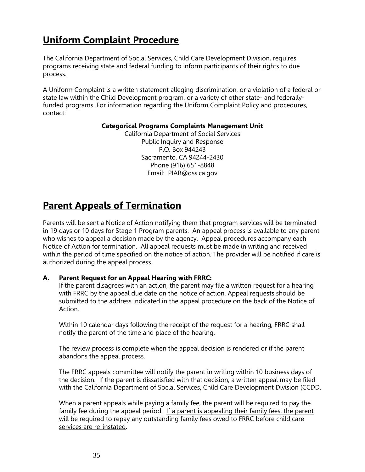## **Uniform Complaint Procedure**

The California Department of Social Services, Child Care Development Division, requires programs receiving state and federal funding to inform participants of their rights to due process.

A Uniform Complaint is a written statement alleging discrimination, or a violation of a federal or state law within the Child Development program, or a variety of other state- and federallyfunded programs. For information regarding the Uniform Complaint Policy and procedures, contact:

#### **Categorical Programs Complaints Management Unit**

California Department of Social Services Public Inquiry and Response P.O. Box 944243 Sacramento, CA 94244-2430 Phone (916) 651-8848 Email: PIAR@dss.ca.gov

## **Parent Appeals of Termination**

Parents will be sent a Notice of Action notifying them that program services will be terminated in 19 days or 10 days for Stage 1 Program parents. An appeal process is available to any parent who wishes to appeal a decision made by the agency. Appeal procedures accompany each Notice of Action for termination. All appeal requests must be made in writing and received within the period of time specified on the notice of action. The provider will be notified if care is authorized during the appeal process.

### **A. Parent Request for an Appeal Hearing with FRRC:**

If the parent disagrees with an action, the parent may file a written request for a hearing with FRRC by the appeal due date on the notice of action. Appeal requests should be submitted to the address indicated in the appeal procedure on the back of the Notice of Action.

Within 10 calendar days following the receipt of the request for a hearing, FRRC shall notify the parent of the time and place of the hearing.

The review process is complete when the appeal decision is rendered or if the parent abandons the appeal process.

The FRRC appeals committee will notify the parent in writing within 10 business days of the decision. If the parent is dissatisfied with that decision, a written appeal may be filed with the California Department of Social Services, Child Care Development Division (CCDD.

When a parent appeals while paying a family fee, the parent will be required to pay the family fee during the appeal period. If a parent is appealing their family fees, the parent will be required to repay any outstanding family fees owed to FRRC before child care services are re-instated.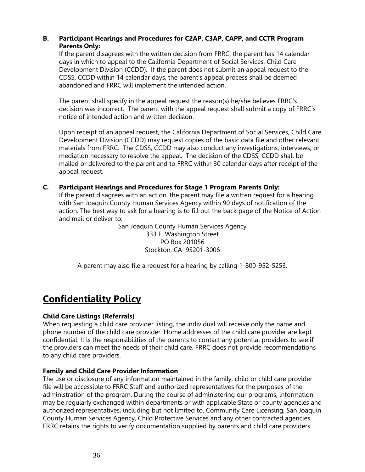### **B. Participant Hearings and Procedures for C2AP, C3AP, CAPP, and CCTR Program Parents Only:**

If the parent disagrees with the written decision from FRRC, the parent has 14 calendar days in which to appeal to the California Department of Social Services, Child Care Development Division (CCDD). If the parent does not submit an appeal request to the CDSS, CCDD within 14 calendar days, the parent's appeal process shall be deemed abandoned and FRRC will implement the intended action.

The parent shall specify in the appeal request the reason(s) he/she believes FRRC's decision was incorrect. The parent with the appeal request shall submit a copy of FRRC's notice of intended action and written decision.

Upon receipt of an appeal request, the California Department of Social Services, Child Care Development Division (CCDD) may request copies of the basic data file and other relevant materials from FRRC. The CDSS, CCDD may also conduct any investigations, interviews, or mediation necessary to resolve the appeal. The decision of the CDSS, CCDD shall be mailed or delivered to the parent and to FRRC within 30 calendar days after receipt of the appeal request.

### **C. Participant Hearings and Procedures for Stage 1 Program Parents Only:**

If the parent disagrees with an action, the parent may file a written request for a hearing with San Joaquin County Human Services Agency within 90 days of notification of the action. The best way to ask for a hearing is to fill out the back page of the Notice of Action and mail or deliver to:

> San Joaquin County Human Services Agency 333 E. Washington Street PO Box 201056 Stockton, CA 95201-3006

A parent may also file a request for a hearing by calling 1-800-952-5253.

## **Confidentiality Policy**

#### **Child Care Listings (Referrals)**

When requesting a child care provider listing, the individual will receive only the name and phone number of the child care provider. Home addresses of the child care provider are kept confidential. It is the responsibilities of the parents to contact any potential providers to see if the providers can meet the needs of their child care. FRRC does not provide recommendations to any child care providers.

#### **Family and Child Care Provider Information**

The use or disclosure of any information maintained in the family, child or child care provider file will be accessible to FRRC Staff and authorized representatives for the purposes of the administration of the program. During the course of administering our programs, information may be regularly exchanged within departments or with applicable State or county agencies and authorized representatives, including but not limited to, Community Care Licensing, San Joaquin County Human Services Agency, Child Protective Services and any other contracted agencies. FRRC retains the rights to verify documentation supplied by parents and child care providers.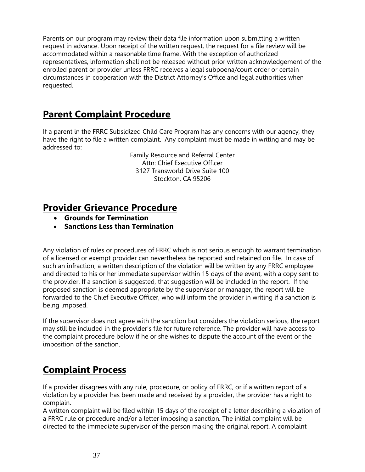Parents on our program may review their data file information upon submitting a written request in advance. Upon receipt of the written request, the request for a file review will be accommodated within a reasonable time frame. With the exception of authorized representatives, information shall not be released without prior written acknowledgement of the enrolled parent or provider unless FRRC receives a legal subpoena/court order or certain circumstances in cooperation with the District Attorney's Office and legal authorities when requested.

## **Parent Complaint Procedure**

If a parent in the FRRC Subsidized Child Care Program has any concerns with our agency, they have the right to file a written complaint. Any complaint must be made in writing and may be addressed to:

> Family Resource and Referral Center Attn: Chief Executive Officer 3127 Transworld Drive Suite 100 Stockton, CA 95206

## **Provider Grievance Procedure**

- **Grounds for Termination**
- **Sanctions Less than Termination**

Any violation of rules or procedures of FRRC which is not serious enough to warrant termination of a licensed or exempt provider can nevertheless be reported and retained on file. In case of such an infraction, a written description of the violation will be written by any FRRC employee and directed to his or her immediate supervisor within 15 days of the event, with a copy sent to the provider. If a sanction is suggested, that suggestion will be included in the report. If the proposed sanction is deemed appropriate by the supervisor or manager, the report will be forwarded to the Chief Executive Officer, who will inform the provider in writing if a sanction is being imposed.

If the supervisor does not agree with the sanction but considers the violation serious, the report may still be included in the provider's file for future reference. The provider will have access to the complaint procedure below if he or she wishes to dispute the account of the event or the imposition of the sanction.

## **Complaint Process**

If a provider disagrees with any rule, procedure, or policy of FRRC, or if a written report of a violation by a provider has been made and received by a provider, the provider has a right to complain.

A written complaint will be filed within 15 days of the receipt of a letter describing a violation of a FRRC rule or procedure and/or a letter imposing a sanction. The initial complaint will be directed to the immediate supervisor of the person making the original report. A complaint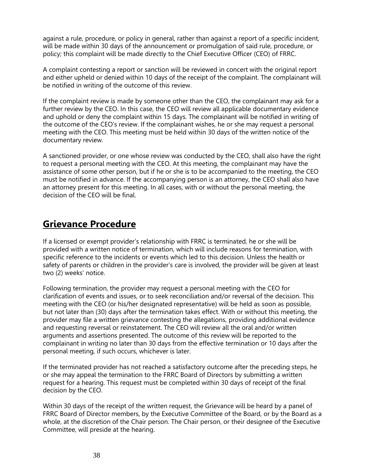against a rule, procedure, or policy in general, rather than against a report of a specific incident, will be made within 30 days of the announcement or promulgation of said rule, procedure, or policy; this complaint will be made directly to the Chief Executive Officer (CEO) of FRRC.

A complaint contesting a report or sanction will be reviewed in concert with the original report and either upheld or denied within 10 days of the receipt of the complaint. The complainant will be notified in writing of the outcome of this review.

If the complaint review is made by someone other than the CEO, the complainant may ask for a further review by the CEO. In this case, the CEO will review all applicable documentary evidence and uphold or deny the complaint within 15 days. The complainant will be notified in writing of the outcome of the CEO's review. If the complainant wishes, he or she may request a personal meeting with the CEO. This meeting must be held within 30 days of the written notice of the documentary review.

A sanctioned provider, or one whose review was conducted by the CEO, shall also have the right to request a personal meeting with the CEO. At this meeting, the complainant may have the assistance of some other person, but if he or she is to be accompanied to the meeting, the CEO must be notified in advance. If the accompanying person is an attorney, the CEO shall also have an attorney present for this meeting. In all cases, with or without the personal meeting, the decision of the CEO will be final.

## **Grievance Procedure**

If a licensed or exempt provider's relationship with FRRC is terminated, he or she will be provided with a written notice of termination, which will include reasons for termination, with specific reference to the incidents or events which led to this decision. Unless the health or safety of parents or children in the provider's care is involved, the provider will be given at least two (2) weeks' notice.

Following termination, the provider may request a personal meeting with the CEO for clarification of events and issues, or to seek reconciliation and/or reversal of the decision. This meeting with the CEO (or his/her designated representative) will be held as soon as possible, but not later than (30) days after the termination takes effect. With or without this meeting, the provider may file a written grievance contesting the allegations, providing additional evidence and requesting reversal or reinstatement. The CEO will review all the oral and/or written arguments and assertions presented. The outcome of this review will be reported to the complainant in writing no later than 30 days from the effective termination or 10 days after the personal meeting, if such occurs, whichever is later.

If the terminated provider has not reached a satisfactory outcome after the preceding steps, he or she may appeal the termination to the FRRC Board of Directors by submitting a written request for a hearing. This request must be completed within 30 days of receipt of the final decision by the CEO.

Within 30 days of the receipt of the written request, the Grievance will be heard by a panel of FRRC Board of Director members, by the Executive Committee of the Board, or by the Board as a whole, at the discretion of the Chair person. The Chair person, or their designee of the Executive Committee, will preside at the hearing.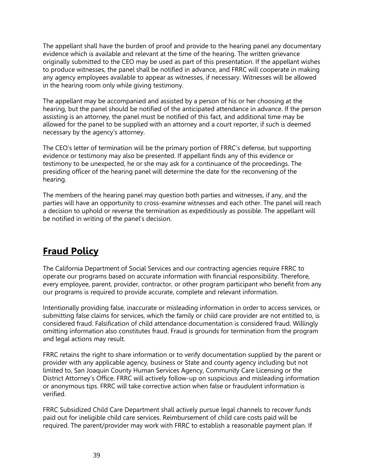The appellant shall have the burden of proof and provide to the hearing panel any documentary evidence which is available and relevant at the time of the hearing. The written grievance originally submitted to the CEO may be used as part of this presentation. If the appellant wishes to produce witnesses, the panel shall be notified in advance, and FRRC will cooperate in making any agency employees available to appear as witnesses, if necessary. Witnesses will be allowed in the hearing room only while giving testimony.

The appellant may be accompanied and assisted by a person of his or her choosing at the hearing, but the panel should be notified of the anticipated attendance in advance. If the person assisting is an attorney, the panel must be notified of this fact, and additional time may be allowed for the panel to be supplied with an attorney and a court reporter, if such is deemed necessary by the agency's attorney.

The CEO's letter of termination will be the primary portion of FRRC's defense, but supporting evidence or testimony may also be presented. If appellant finds any of this evidence or testimony to be unexpected, he or she may ask for a continuance of the proceedings. The presiding officer of the hearing panel will determine the date for the reconvening of the hearing.

The members of the hearing panel may question both parties and witnesses, if any, and the parties will have an opportunity to cross-examine witnesses and each other. The panel will reach a decision to uphold or reverse the termination as expeditiously as possible. The appellant will be notified in writing of the panel's decision.

## **Fraud Policy**

The California Department of Social Services and our contracting agencies require FRRC to operate our programs based on accurate information with financial responsibility. Therefore, every employee, parent, provider, contractor, or other program participant who benefit from any our programs is required to provide accurate, complete and relevant information.

Intentionally providing false, inaccurate or misleading information in order to access services, or submitting false claims for services, which the family or child care provider are not entitled to, is considered fraud. Falsification of child attendance documentation is considered fraud. Willingly omitting information also constitutes fraud. Fraud is grounds for termination from the program and legal actions may result.

FRRC retains the right to share information or to verify documentation supplied by the parent or provider with any applicable agency, business or State and county agency including but not limited to, San Joaquin County Human Services Agency, Community Care Licensing or the District Attorney's Office. FRRC will actively follow-up on suspicious and misleading information or anonymous tips. FRRC will take corrective action when false or fraudulent information is verified.

FRRC Subsidized Child Care Department shall actively pursue legal channels to recover funds paid out for ineligible child care services. Reimbursement of child care costs paid will be required. The parent/provider may work with FRRC to establish a reasonable payment plan. If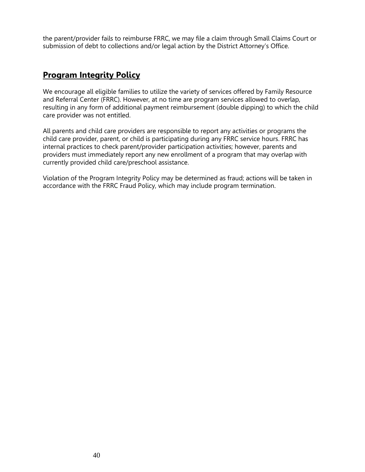the parent/provider fails to reimburse FRRC, we may file a claim through Small Claims Court or submission of debt to collections and/or legal action by the District Attorney's Office.

## **Program Integrity Policy**

We encourage all eligible families to utilize the variety of services offered by Family Resource and Referral Center (FRRC). However, at no time are program services allowed to overlap, resulting in any form of additional payment reimbursement (double dipping) to which the child care provider was not entitled.

All parents and child care providers are responsible to report any activities or programs the child care provider, parent, or child is participating during any FRRC service hours. FRRC has internal practices to check parent/provider participation activities; however, parents and providers must immediately report any new enrollment of a program that may overlap with currently provided child care/preschool assistance.

Violation of the Program Integrity Policy may be determined as fraud; actions will be taken in accordance with the FRRC Fraud Policy, which may include program termination.